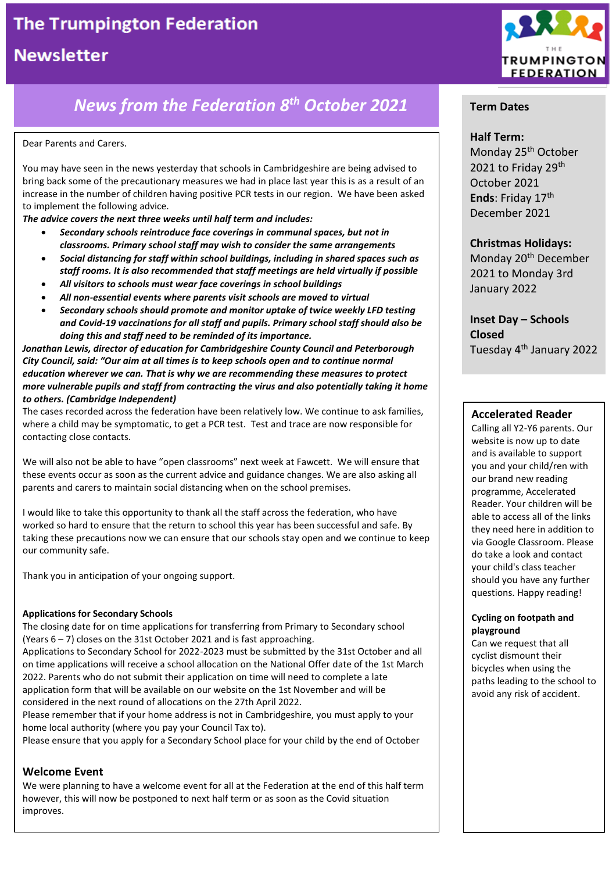# **The Trumpington Federation**

# **Newsletter**

# *News from the Federation 8 th October 2021*

#### Dear Parents and Carers.

You may have seen in the news yesterday that schools in Cambridgeshire are being advised to bring back some of the precautionary measures we had in place last year this is as a result of an increase in the number of children having positive PCR tests in our region. We have been asked to implement the following advice.

*The advice covers the next three weeks until half term and includes:*

- *Secondary schools reintroduce face coverings in communal spaces, but not in classrooms. Primary school staff may wish to consider the same arrangements*
- *Social distancing for staff within school buildings, including in shared spaces such as staff rooms. It is also recommended that staff meetings are held virtually if possible*
- *All visitors to schools must wear face coverings in school buildings*
- *All non-essential events where parents visit schools are moved to virtual*
- *Secondary schools should promote and monitor uptake of twice weekly LFD testing and Covid-19 vaccinations for all staff and pupils. Primary school staff should also be doing this and staff need to be reminded of its importance.*

*Jonathan Lewis, director of education for Cambridgeshire County Council and Peterborough City Council, said: "Our aim at all times is to keep schools open and to continue normal education wherever we can. That is why we are recommending these measures to protect more vulnerable pupils and staff from contracting the virus and also potentially taking it home to others. (Cambridge Independent)*

The cases recorded across the federation have been relatively low. We continue to ask families, where a child may be symptomatic, to get a PCR test. Test and trace are now responsible for contacting close contacts.

We will also not be able to have "open classrooms" next week at Fawcett. We will ensure that these events occur as soon as the current advice and guidance changes. We are also asking all parents and carers to maintain social distancing when on the school premises.

I would like to take this opportunity to thank all the staff across the federation, who have worked so hard to ensure that the return to school this year has been successful and safe. By taking these precautions now we can ensure that our schools stay open and we continue to keep our community safe.

Thank you in anticipation of your ongoing support.

#### **Applications for Secondary Schools**

The closing date for on time applications for transferring from Primary to Secondary school (Years 6 – 7) closes on the 31st October 2021 and is fast approaching.

Applications to Secondary School for 2022-2023 must be submitted by the 31st October and all on time applications will receive a school allocation on the National Offer date of the 1st March 2022. Parents who do not submit their application on time will need to complete a late application form that will be available on our website on the 1st November and will be considered in the next round of allocations on the 27th April 2022.

Please remember that if your home address is not in Cambridgeshire, you must apply to your home local authority (where you pay your Council Tax to).

Please ensure that you apply for a Secondary School place for your child by the end of October

### **Welcome Event**

We were planning to have a welcome event for all at the Federation at the end of this half term however, this will now be postponed to next half term or as soon as the Covid situation improves.



## **Term Dates**

#### **Half Term:**

Monday 25<sup>th</sup> October 2021 to Friday 29<sup>th</sup> October 2021 **Ends**: Friday 17th December 2021

### **Christmas Holidays:**

Monday 20<sup>th</sup> December 2021 to Monday 3rd January 2022

**Inset Day – Schools Closed** Tuesday 4th January 2022

### **Accelerated Reader**

Calling all Y2-Y6 parents. Our website is now up to date and is available to support you and your child/ren with our brand new reading programme, Accelerated Reader. Your children will be able to access all of the links they need here in addition to via Google Classroom. Please do take a look and contact your child's class teacher should you have any further questions. Happy reading!

#### **Cycling on footpath and playground**

Can we request that all cyclist dismount their bicycles when using the paths leading to the school to avoid any risk of accident.